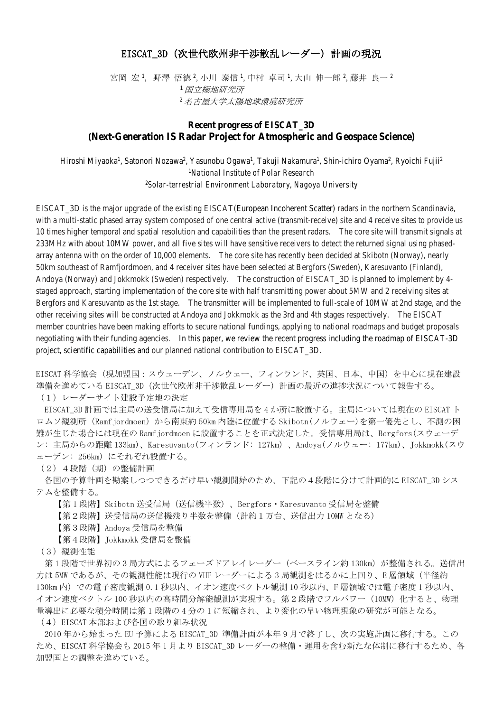## EISCAT\_3D(次世代欧州非干渉散乱レーダー)計画の現況

宮岡 宏 ',野澤 悟徳 ?,小川 泰信 ',中村 卓司 ',大山 伸一郎 2,藤井 良一 <del>'</del> <sup>1</sup>国立極地研究所 <sup>2</sup>名古屋大学太陽地球環境研究所

## **Recent progress of EISCAT\_3D (Next-Generation IS Radar Project for Atmospheric and Geospace Science)**

Hiroshi Miyaoka<sup>1</sup>, Satonori Nozawa<sup>2</sup>, Yasunobu Ogawa<sup>1</sup>, Takuji Nakamura<sup>1</sup>, Shin-ichiro Oyama<sup>2</sup>, Ryoichi Fujii<sup>2</sup> 1 *National Institute of Polar Research* 2 *Solar-terrestrial Environment Laboratory, Nagoya University*

EISCAT\_3D is the major upgrade of the existing EISCAT(European Incoherent Scatter) radars in the northern Scandinavia, with a multi-static phased array system composed of one central active (transmit-receive) site and 4 receive sites to provide us 10 times higher temporal and spatial resolution and capabilities than the present radars. The core site will transmit signals at 233MHz with about 10MW power, and all five sites will have sensitive receivers to detect the returned signal using phasedarray antenna with on the order of 10,000 elements. The core site has recently been decided at Skibotn (Norway), nearly 50km southeast of Ramfjordmoen, and 4 receiver sites have been selected at Bergfors (Sweden), Karesuvanto (Finland), Andoya (Norway) and Jokkmokk (Sweden) respectively. The construction of EISCAT\_3D is planned to implement by 4 staged approach, starting implementation of the core site with half transmitting power about 5MW and 2 receiving sites at Bergfors and Karesuvanto as the 1st stage. The transmitter will be implemented to full-scale of 10MW at 2nd stage, and the other receiving sites will be constructed at Andoya and Jokkmokk as the 3rd and 4th stages respectively. The EISCAT member countries have been making efforts to secure national fundings, applying to national roadmaps and budget proposals negotiating with their funding agencies. In this paper, we review the recent progress including the roadmap of EISCAT-3D project, scientific capabilities and our planned national contribution to EISCAT\_3D.

EISCAT 科学協会(現加盟国:スウェーデン、ノルウェー、フィンランド、英国、日本、中国)を中心に現在建設 準備を進めている EISCAT 3D (次世代欧州非干渉散乱レーダー)計画の最近の進捗状況について報告する。 (1)レーダーサイト建設予定地の決定

EISCAT\_3D 計画では主局の送受信局に加えて受信専用局を 4 か所に設置する。主局については現在の EISCAT ト ロムソ観測所 (Ramfjordmoen)から南東約 50km 内陸に位置する Skibotn(ノルウェー)を第一優先とし、不測の困 難が生じた場合には現在の Ramfjordmoen に設置することを正式決定した。受信専用局は、Bergfors(スウェーデ ン: 主局からの距離 133km)、Karesuvanto(フィンランド: 127km)、Andoya(ノルウェー: 177km)、Jokkmokk(スウ ェーデン: 256km)にそれぞれ設置する。

(2)4段階(期)の整備計画

各国の予算計画を勘案しつつできるだけ早い観測開始のため、下記の4段階に分けて計画的に EISCAT\_3D シス テムを整備する。

【第 1 段階】Skibotn 送受信局(送信機半数)、Bergfors・Karesuvanto 受信局を整備

【第2段階】送受信局の送信機残り半数を整備(計約1万台、送信出力 10MW となる)

【第3段階】Andoya 受信局を整備

【第4段階】Jokkmokk 受信局を整備

(3)観測性能

第1段階で世界初の3局方式によるフェーズドアレイレーダー(ベースライン約 130km)が整備される。送信出 力は 5MW であるが、その観測性能は現行の VHF レーダーによる3局観測をはるかに上回り、E 層領域(半径約 130km 内)での電子密度観測 0.1 秒以内、イオン速度ベクトル観測 10 秒以内、F 層領域では電子密度 1 秒以内、 イオン速度ベクトル 100 秒以内の高時間分解能観測が実現する。第2段階でフルパワー (10MW) 化すると、物理 量導出に必要な積分時間は第 1 段階の 4 分の 1 に短縮され、より変化の早い物理現象の研究が可能となる。 (4)EISCAT 本部および各国の取り組み状況

2010 年から始まった EU 予算による EISCAT\_3D 準備計画が本年 9 月で終了し、次の実施計画に移行する。この ため、EISCAT 科学協会も 2015 年 1 月より EISCAT\_3D レーダーの整備・運用を含む新たな体制に移行するため、各 加盟国との調整を進めている。